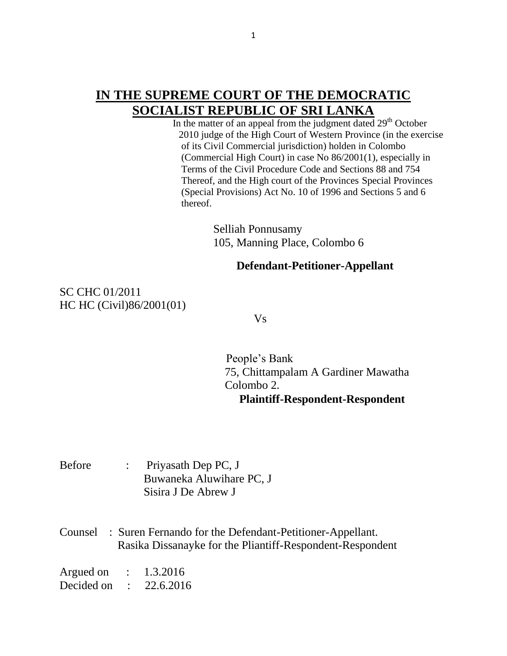## **IN THE SUPREME COURT OF THE DEMOCRATIC SOCIALIST REPUBLIC OF SRI LANKA**

In the matter of an appeal from the judgment dated  $29<sup>th</sup>$  October 2010 judge of the High Court of Western Province (in the exercise of its Civil Commercial jurisdiction) holden in Colombo (Commercial High Court) in case No 86/2001(1), especially in Terms of the Civil Procedure Code and Sections 88 and 754 Thereof, and the High court of the Provinces Special Provinces (Special Provisions) Act No. 10 of 1996 and Sections 5 and 6 thereof.

> Selliah Ponnusamy 105, Manning Place, Colombo 6

## **Defendant-Petitioner-Appellant**

SC CHC 01/2011 HC HC (Civil)86/2001(01)

Vs

 People's Bank 75, Chittampalam A Gardiner Mawatha Colombo 2.  **Plaintiff-Respondent-Respondent**

Before : Priyasath Dep PC, J Buwaneka Aluwihare PC, J Sisira J De Abrew J

Counsel : Suren Fernando for the Defendant-Petitioner-Appellant. Rasika Dissanayke for the Pliantiff-Respondent-Respondent

Argued on : 1.3.2016 Decided on : 22.6.2016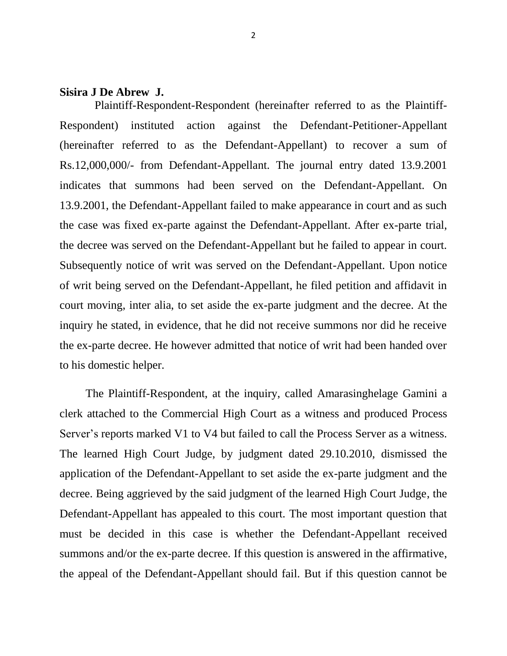## **Sisira J De Abrew J.**

 Plaintiff-Respondent-Respondent (hereinafter referred to as the Plaintiff-Respondent) instituted action against the Defendant-Petitioner-Appellant (hereinafter referred to as the Defendant-Appellant) to recover a sum of Rs.12,000,000/- from Defendant-Appellant. The journal entry dated 13.9.2001 indicates that summons had been served on the Defendant-Appellant. On 13.9.2001, the Defendant-Appellant failed to make appearance in court and as such the case was fixed ex-parte against the Defendant-Appellant. After ex-parte trial, the decree was served on the Defendant-Appellant but he failed to appear in court. Subsequently notice of writ was served on the Defendant-Appellant. Upon notice of writ being served on the Defendant-Appellant, he filed petition and affidavit in court moving, inter alia, to set aside the ex-parte judgment and the decree. At the inquiry he stated, in evidence, that he did not receive summons nor did he receive the ex-parte decree. He however admitted that notice of writ had been handed over to his domestic helper.

 The Plaintiff-Respondent, at the inquiry, called Amarasinghelage Gamini a clerk attached to the Commercial High Court as a witness and produced Process Server's reports marked V1 to V4 but failed to call the Process Server as a witness. The learned High Court Judge, by judgment dated 29.10.2010, dismissed the application of the Defendant-Appellant to set aside the ex-parte judgment and the decree. Being aggrieved by the said judgment of the learned High Court Judge, the Defendant-Appellant has appealed to this court. The most important question that must be decided in this case is whether the Defendant-Appellant received summons and/or the ex-parte decree. If this question is answered in the affirmative, the appeal of the Defendant-Appellant should fail. But if this question cannot be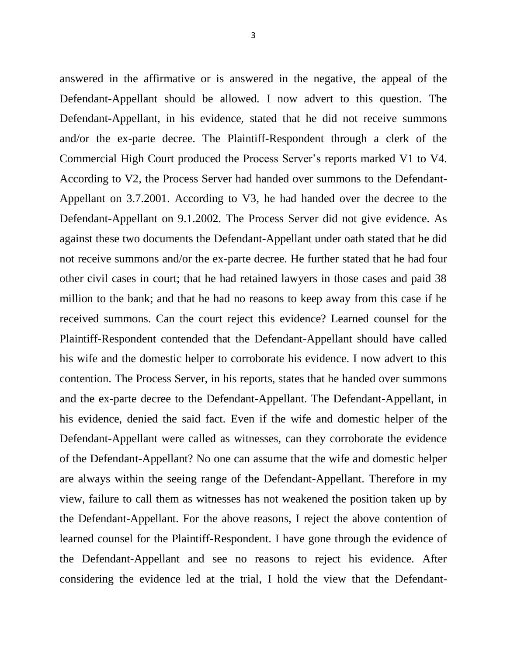answered in the affirmative or is answered in the negative, the appeal of the Defendant-Appellant should be allowed. I now advert to this question. The Defendant-Appellant, in his evidence, stated that he did not receive summons and/or the ex-parte decree. The Plaintiff-Respondent through a clerk of the Commercial High Court produced the Process Server's reports marked V1 to V4. According to V2, the Process Server had handed over summons to the Defendant-Appellant on 3.7.2001. According to V3, he had handed over the decree to the Defendant-Appellant on 9.1.2002. The Process Server did not give evidence. As against these two documents the Defendant-Appellant under oath stated that he did not receive summons and/or the ex-parte decree. He further stated that he had four other civil cases in court; that he had retained lawyers in those cases and paid 38 million to the bank; and that he had no reasons to keep away from this case if he received summons. Can the court reject this evidence? Learned counsel for the Plaintiff-Respondent contended that the Defendant-Appellant should have called his wife and the domestic helper to corroborate his evidence. I now advert to this contention. The Process Server, in his reports, states that he handed over summons and the ex-parte decree to the Defendant-Appellant. The Defendant-Appellant, in his evidence, denied the said fact. Even if the wife and domestic helper of the Defendant-Appellant were called as witnesses, can they corroborate the evidence of the Defendant-Appellant? No one can assume that the wife and domestic helper are always within the seeing range of the Defendant-Appellant. Therefore in my view, failure to call them as witnesses has not weakened the position taken up by the Defendant-Appellant. For the above reasons, I reject the above contention of learned counsel for the Plaintiff-Respondent. I have gone through the evidence of the Defendant-Appellant and see no reasons to reject his evidence. After considering the evidence led at the trial, I hold the view that the Defendant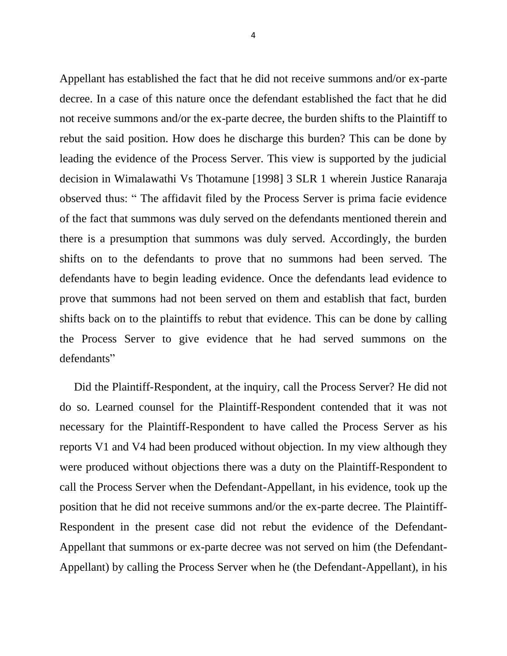Appellant has established the fact that he did not receive summons and/or ex-parte decree. In a case of this nature once the defendant established the fact that he did not receive summons and/or the ex-parte decree, the burden shifts to the Plaintiff to rebut the said position. How does he discharge this burden? This can be done by leading the evidence of the Process Server. This view is supported by the judicial decision in Wimalawathi Vs Thotamune [1998] 3 SLR 1 wherein Justice Ranaraja observed thus: " The affidavit filed by the Process Server is prima facie evidence of the fact that summons was duly served on the defendants mentioned therein and there is a presumption that summons was duly served. Accordingly, the burden shifts on to the defendants to prove that no summons had been served. The defendants have to begin leading evidence. Once the defendants lead evidence to prove that summons had not been served on them and establish that fact, burden shifts back on to the plaintiffs to rebut that evidence. This can be done by calling the Process Server to give evidence that he had served summons on the defendants"

 Did the Plaintiff-Respondent, at the inquiry, call the Process Server? He did not do so. Learned counsel for the Plaintiff-Respondent contended that it was not necessary for the Plaintiff-Respondent to have called the Process Server as his reports V1 and V4 had been produced without objection. In my view although they were produced without objections there was a duty on the Plaintiff-Respondent to call the Process Server when the Defendant-Appellant, in his evidence, took up the position that he did not receive summons and/or the ex-parte decree. The Plaintiff-Respondent in the present case did not rebut the evidence of the Defendant-Appellant that summons or ex-parte decree was not served on him (the Defendant-Appellant) by calling the Process Server when he (the Defendant-Appellant), in his